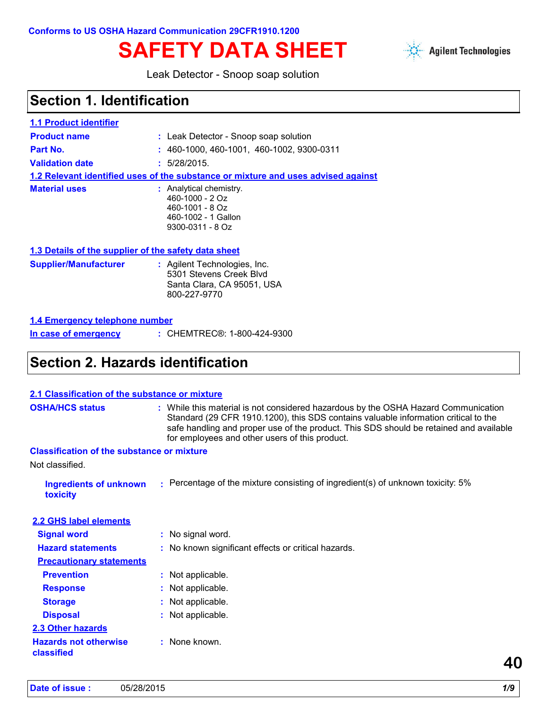# SAFETY DATA SHEET Agilent Technologies



Leak Detector - Snoop soap solution

### **Section 1. Identification**

| <b>1.1 Product identifier</b>                        |                                                                                                                   |
|------------------------------------------------------|-------------------------------------------------------------------------------------------------------------------|
| <b>Product name</b>                                  | : Leak Detector - Snoop soap solution                                                                             |
| Part No.                                             | $: 460-1000, 460-1001, 460-1002, 9300-0311$                                                                       |
| <b>Validation date</b>                               | : 5/28/2015.                                                                                                      |
|                                                      | 1.2 Relevant identified uses of the substance or mixture and uses advised against                                 |
| <b>Material uses</b>                                 | : Analytical chemistry.<br>$460 - 1000 - 20z$<br>$460 - 1001 - 80z$<br>460-1002 - 1 Gallon<br>$9300 - 0311 - 80z$ |
| 1.3 Details of the supplier of the safety data sheet |                                                                                                                   |
| <b>Supplier/Manufacturer</b>                         | : Agilent Technologies, Inc.                                                                                      |

| <b>Supplier/Manufacturer</b> | : Agilent Technologies, Inc. |
|------------------------------|------------------------------|
|                              | 5301 Stevens Creek Blyd      |
|                              | Santa Clara, CA 95051, USA   |
|                              | 800-227-9770                 |

| 1.4 Emergency telephone number |
|--------------------------------|
|--------------------------------|

```
In case of emergency
```
CHEMTREC®: 1-800-424-9300 **:**

### **Section 2. Hazards identification**

| 2.1 Classification of the substance or mixture    |                                                                                                                                                                                                                                                                                                                       |    |
|---------------------------------------------------|-----------------------------------------------------------------------------------------------------------------------------------------------------------------------------------------------------------------------------------------------------------------------------------------------------------------------|----|
| <b>OSHA/HCS status</b>                            | : While this material is not considered hazardous by the OSHA Hazard Communication<br>Standard (29 CFR 1910.1200), this SDS contains valuable information critical to the<br>safe handling and proper use of the product. This SDS should be retained and available<br>for employees and other users of this product. |    |
| <b>Classification of the substance or mixture</b> |                                                                                                                                                                                                                                                                                                                       |    |
| Not classified.                                   |                                                                                                                                                                                                                                                                                                                       |    |
| <b>Ingredients of unknown</b><br>toxicity         | $\therefore$ Percentage of the mixture consisting of ingredient(s) of unknown toxicity: 5%                                                                                                                                                                                                                            |    |
| 2.2 GHS label elements                            |                                                                                                                                                                                                                                                                                                                       |    |
| <b>Signal word</b>                                | : No signal word.                                                                                                                                                                                                                                                                                                     |    |
| <b>Hazard statements</b>                          | : No known significant effects or critical hazards.                                                                                                                                                                                                                                                                   |    |
| <b>Precautionary statements</b>                   |                                                                                                                                                                                                                                                                                                                       |    |
| <b>Prevention</b>                                 | : Not applicable.                                                                                                                                                                                                                                                                                                     |    |
| <b>Response</b>                                   | : Not applicable.                                                                                                                                                                                                                                                                                                     |    |
| <b>Storage</b>                                    | : Not applicable.                                                                                                                                                                                                                                                                                                     |    |
| <b>Disposal</b>                                   | : Not applicable.                                                                                                                                                                                                                                                                                                     |    |
| 2.3 Other hazards                                 |                                                                                                                                                                                                                                                                                                                       |    |
| <b>Hazards not otherwise</b><br>classified        | : None known.                                                                                                                                                                                                                                                                                                         | 40 |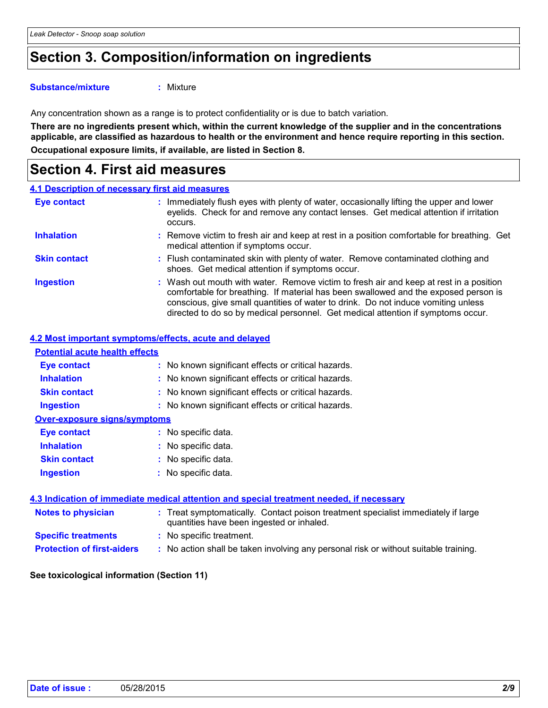### **Section 3. Composition/information on ingredients**

#### **Substance/mixture :**

: Mixture

Any concentration shown as a range is to protect confidentiality or is due to batch variation.

**Occupational exposure limits, if available, are listed in Section 8. There are no ingredients present which, within the current knowledge of the supplier and in the concentrations applicable, are classified as hazardous to health or the environment and hence require reporting in this section.**

### **Section 4. First aid measures**

|                     | 4.1 Description of necessary first aid measures                                                                                                                                                                                                                                                                                                        |
|---------------------|--------------------------------------------------------------------------------------------------------------------------------------------------------------------------------------------------------------------------------------------------------------------------------------------------------------------------------------------------------|
| Eye contact         | Immediately flush eyes with plenty of water, occasionally lifting the upper and lower<br>eyelids. Check for and remove any contact lenses. Get medical attention if irritation<br>occurs.                                                                                                                                                              |
| <b>Inhalation</b>   | : Remove victim to fresh air and keep at rest in a position comfortable for breathing. Get<br>medical attention if symptoms occur.                                                                                                                                                                                                                     |
| <b>Skin contact</b> | : Flush contaminated skin with plenty of water. Remove contaminated clothing and<br>shoes. Get medical attention if symptoms occur.                                                                                                                                                                                                                    |
| <b>Ingestion</b>    | : Wash out mouth with water. Remove victim to fresh air and keep at rest in a position<br>comfortable for breathing. If material has been swallowed and the exposed person is<br>conscious, give small quantities of water to drink. Do not induce vomiting unless<br>directed to do so by medical personnel. Get medical attention if symptoms occur. |

#### **4.2 Most important symptoms/effects, acute and delayed**

| <b>Potential acute health effects</b> |                                                                                                                                |
|---------------------------------------|--------------------------------------------------------------------------------------------------------------------------------|
| Eye contact                           | : No known significant effects or critical hazards.                                                                            |
| <b>Inhalation</b>                     | : No known significant effects or critical hazards.                                                                            |
| <b>Skin contact</b>                   | : No known significant effects or critical hazards.                                                                            |
| <b>Ingestion</b>                      | : No known significant effects or critical hazards.                                                                            |
| <b>Over-exposure signs/symptoms</b>   |                                                                                                                                |
| Eye contact                           | : No specific data.                                                                                                            |
| <b>Inhalation</b>                     | : No specific data.                                                                                                            |
| <b>Skin contact</b>                   | $:$ No specific data.                                                                                                          |
| <b>Ingestion</b>                      | : No specific data.                                                                                                            |
|                                       | 4.3 Indication of immediate medical attention and special treatment needed, if necessary                                       |
| <b>Notes to physician</b>             | : Treat symptomatically. Contact poison treatment specialist immediately if large<br>quantities have been ingested or inhaled. |
| <b>Specific treatments</b>            | : No specific treatment.                                                                                                       |
| <b>Protection of first-aiders</b>     | : No action shall be taken involving any personal risk or without suitable training.                                           |

#### **See toxicological information (Section 11)**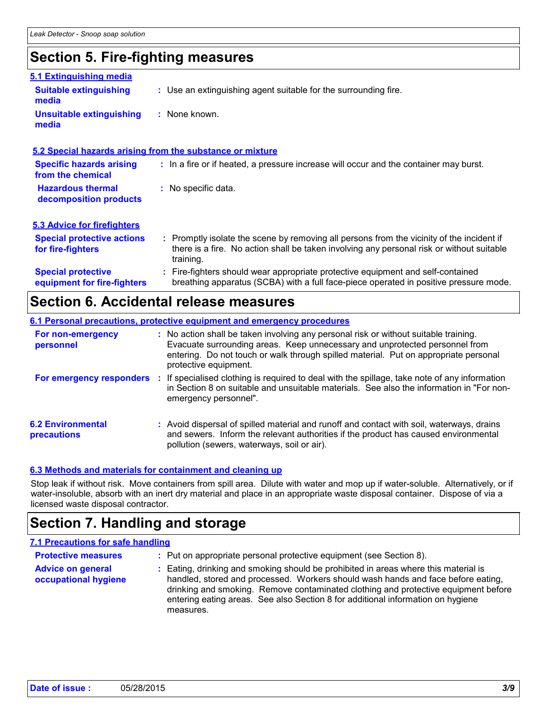### **Section 5. Fire-fighting measures**

| 5.1 Extinguishing media                                  |                                                                                                                                                                                                     |
|----------------------------------------------------------|-----------------------------------------------------------------------------------------------------------------------------------------------------------------------------------------------------|
| <b>Suitable extinguishing</b><br>media                   | : Use an extinguishing agent suitable for the surrounding fire.                                                                                                                                     |
| <b>Unsuitable extinguishing</b><br>media                 | : None known.                                                                                                                                                                                       |
|                                                          | 5.2 Special hazards arising from the substance or mixture                                                                                                                                           |
| <b>Specific hazards arising</b><br>from the chemical     | : In a fire or if heated, a pressure increase will occur and the container may burst.                                                                                                               |
| <b>Hazardous thermal</b><br>decomposition products       | : No specific data.                                                                                                                                                                                 |
| <b>5.3 Advice for firefighters</b>                       |                                                                                                                                                                                                     |
| <b>Special protective actions</b><br>for fire-fighters   | : Promptly isolate the scene by removing all persons from the vicinity of the incident if<br>there is a fire. No action shall be taken involving any personal risk or without suitable<br>training. |
| <b>Special protective</b><br>equipment for fire-fighters | : Fire-fighters should wear appropriate protective equipment and self-contained<br>breathing apparatus (SCBA) with a full face-piece operated in positive pressure mode.                            |

### **Section 6. Accidental release measures**

| 6.1 Personal precautions, protective equipment and emergency procedures |  |                                                                                                                                                                                                                                                                                      |
|-------------------------------------------------------------------------|--|--------------------------------------------------------------------------------------------------------------------------------------------------------------------------------------------------------------------------------------------------------------------------------------|
| For non-emergency<br>personnel                                          |  | : No action shall be taken involving any personal risk or without suitable training.<br>Evacuate surrounding areas. Keep unnecessary and unprotected personnel from<br>entering. Do not touch or walk through spilled material. Put on appropriate personal<br>protective equipment. |
|                                                                         |  | For emergency responders : If specialised clothing is required to deal with the spillage, take note of any information<br>in Section 8 on suitable and unsuitable materials. See also the information in "For non-<br>emergency personnel".                                          |
| <b>6.2 Environmental</b><br>precautions                                 |  | : Avoid dispersal of spilled material and runoff and contact with soil, waterways, drains<br>and sewers. Inform the relevant authorities if the product has caused environmental<br>pollution (sewers, waterways, soil or air).                                                      |

#### **6.3 Methods and materials for containment and cleaning up**

measures.

Stop leak if without risk. Move containers from spill area. Dilute with water and mop up if water-soluble. Alternatively, or if water-insoluble, absorb with an inert dry material and place in an appropriate waste disposal container. Dispose of via a licensed waste disposal contractor.

### **Section 7. Handling and storage**

#### **7.1 Precautions for safe handling**

| <b>Protective measures</b>  | : Put on appropriate personal protective equipment (see Section 8).                                                                                                    |
|-----------------------------|------------------------------------------------------------------------------------------------------------------------------------------------------------------------|
| <b>Advice on general</b>    | : Eating, drinking and smoking should be prohibited in areas where this material is                                                                                    |
| <b>occupational hygiene</b> | handled, stored and processed. Workers should wash hands and face before eating,<br>drinking and smoking. Remove contaminated clothing and protective equipment before |
|                             | entering eating areas. See also Section 8 for additional information on hygiene                                                                                        |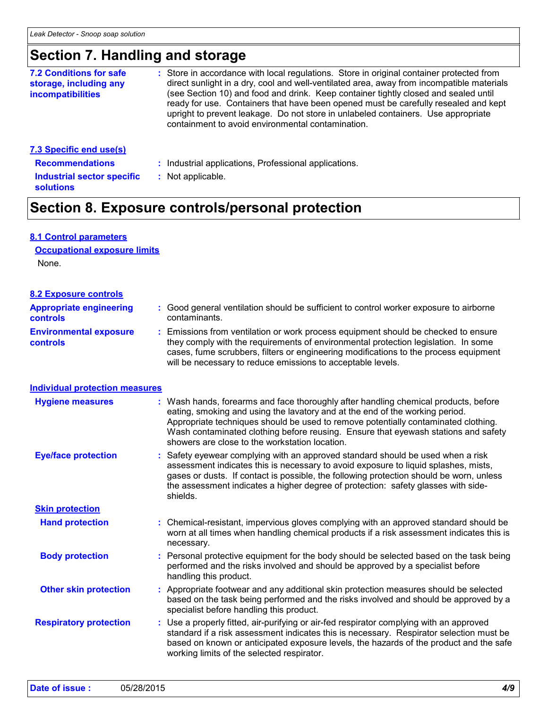### **Section 7. Handling and storage**

| : Store in accordance with local regulations. Store in original container protected from<br>direct sunlight in a dry, cool and well-ventilated area, away from incompatible materials<br>(see Section 10) and food and drink. Keep container tightly closed and sealed until<br>ready for use. Containers that have been opened must be carefully resealed and kept<br>upright to prevent leakage. Do not store in unlabeled containers. Use appropriate<br>containment to avoid environmental contamination. |
|---------------------------------------------------------------------------------------------------------------------------------------------------------------------------------------------------------------------------------------------------------------------------------------------------------------------------------------------------------------------------------------------------------------------------------------------------------------------------------------------------------------|
| . Leduchial annicotione. Drefessionel annicotione.                                                                                                                                                                                                                                                                                                                                                                                                                                                            |
|                                                                                                                                                                                                                                                                                                                                                                                                                                                                                                               |

- **Recommendations :**
- : Industrial applications, Professional applications.
- **Industrial sector specific : solutions**
- : Not applicable.

### **Section 8. Exposure controls/personal protection**

#### **8.1 Control parameters**

None. **Occupational exposure limits**

#### **8.2 Exposure controls**

| <b>Appropriate engineering</b><br><b>controls</b> | : Good general ventilation should be sufficient to control worker exposure to airborne<br>contaminants.                                                                                                                                                                                                                         |
|---------------------------------------------------|---------------------------------------------------------------------------------------------------------------------------------------------------------------------------------------------------------------------------------------------------------------------------------------------------------------------------------|
| <b>Environmental exposure</b><br><b>controls</b>  | : Emissions from ventilation or work process equipment should be checked to ensure<br>they comply with the requirements of environmental protection legislation. In some<br>cases, fume scrubbers, filters or engineering modifications to the process equipment<br>will be necessary to reduce emissions to acceptable levels. |

#### **Individual protection measures**

| <b>Hygiene measures</b>       | : Wash hands, forearms and face thoroughly after handling chemical products, before<br>eating, smoking and using the lavatory and at the end of the working period.<br>Appropriate techniques should be used to remove potentially contaminated clothing.<br>Wash contaminated clothing before reusing. Ensure that eyewash stations and safety<br>showers are close to the workstation location. |
|-------------------------------|---------------------------------------------------------------------------------------------------------------------------------------------------------------------------------------------------------------------------------------------------------------------------------------------------------------------------------------------------------------------------------------------------|
| <b>Eye/face protection</b>    | : Safety eyewear complying with an approved standard should be used when a risk<br>assessment indicates this is necessary to avoid exposure to liquid splashes, mists,<br>gases or dusts. If contact is possible, the following protection should be worn, unless<br>the assessment indicates a higher degree of protection: safety glasses with side-<br>shields.                                |
| <b>Skin protection</b>        |                                                                                                                                                                                                                                                                                                                                                                                                   |
| <b>Hand protection</b>        | : Chemical-resistant, impervious gloves complying with an approved standard should be<br>worn at all times when handling chemical products if a risk assessment indicates this is<br>necessary.                                                                                                                                                                                                   |
| <b>Body protection</b>        | : Personal protective equipment for the body should be selected based on the task being<br>performed and the risks involved and should be approved by a specialist before<br>handling this product.                                                                                                                                                                                               |
| <b>Other skin protection</b>  | : Appropriate footwear and any additional skin protection measures should be selected<br>based on the task being performed and the risks involved and should be approved by a<br>specialist before handling this product.                                                                                                                                                                         |
| <b>Respiratory protection</b> | : Use a properly fitted, air-purifying or air-fed respirator complying with an approved<br>standard if a risk assessment indicates this is necessary. Respirator selection must be<br>based on known or anticipated exposure levels, the hazards of the product and the safe<br>working limits of the selected respirator.                                                                        |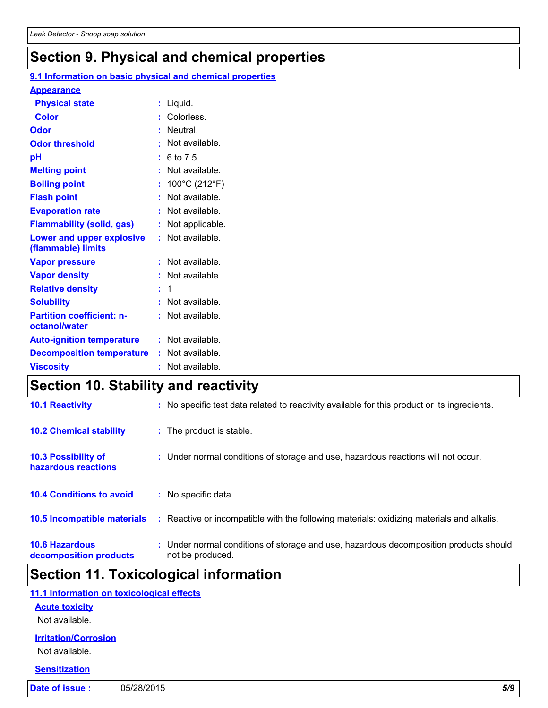### **Section 9. Physical and chemical properties**

| <b>Physical state</b><br>$:$ Liquid.<br><b>Color</b><br>: Colorless.<br>: Neutral.<br>$\cdot$ Not available.<br>: 6 to 7.5<br>: Not available.<br>: $100^{\circ}$ C (212 $^{\circ}$ F)<br>: Not available.<br>: Not available.<br>: Not applicable.<br>: Not available.<br>: Not available.<br>: Not available.<br>$\div$ 1<br>: Not available.<br>: Not available.<br>: Not available.<br>: Not available.<br>: Not available. |                                                   | 9.1 Information on basic physical and chemical properties |
|---------------------------------------------------------------------------------------------------------------------------------------------------------------------------------------------------------------------------------------------------------------------------------------------------------------------------------------------------------------------------------------------------------------------------------|---------------------------------------------------|-----------------------------------------------------------|
|                                                                                                                                                                                                                                                                                                                                                                                                                                 | <b>Appearance</b>                                 |                                                           |
|                                                                                                                                                                                                                                                                                                                                                                                                                                 |                                                   |                                                           |
|                                                                                                                                                                                                                                                                                                                                                                                                                                 |                                                   |                                                           |
|                                                                                                                                                                                                                                                                                                                                                                                                                                 | Odor                                              |                                                           |
|                                                                                                                                                                                                                                                                                                                                                                                                                                 | <b>Odor threshold</b>                             |                                                           |
|                                                                                                                                                                                                                                                                                                                                                                                                                                 | pH                                                |                                                           |
|                                                                                                                                                                                                                                                                                                                                                                                                                                 | <b>Melting point</b>                              |                                                           |
|                                                                                                                                                                                                                                                                                                                                                                                                                                 | <b>Boiling point</b>                              |                                                           |
|                                                                                                                                                                                                                                                                                                                                                                                                                                 | <b>Flash point</b>                                |                                                           |
|                                                                                                                                                                                                                                                                                                                                                                                                                                 | <b>Evaporation rate</b>                           |                                                           |
|                                                                                                                                                                                                                                                                                                                                                                                                                                 | <b>Flammability (solid, gas)</b>                  |                                                           |
|                                                                                                                                                                                                                                                                                                                                                                                                                                 | Lower and upper explosive<br>(flammable) limits   |                                                           |
|                                                                                                                                                                                                                                                                                                                                                                                                                                 | <b>Vapor pressure</b>                             |                                                           |
|                                                                                                                                                                                                                                                                                                                                                                                                                                 | <b>Vapor density</b>                              |                                                           |
|                                                                                                                                                                                                                                                                                                                                                                                                                                 | <b>Relative density</b>                           |                                                           |
|                                                                                                                                                                                                                                                                                                                                                                                                                                 | <b>Solubility</b>                                 |                                                           |
|                                                                                                                                                                                                                                                                                                                                                                                                                                 | <b>Partition coefficient: n-</b><br>octanol/water |                                                           |
|                                                                                                                                                                                                                                                                                                                                                                                                                                 | <b>Auto-ignition temperature</b>                  |                                                           |
|                                                                                                                                                                                                                                                                                                                                                                                                                                 | <b>Decomposition temperature</b>                  |                                                           |
|                                                                                                                                                                                                                                                                                                                                                                                                                                 | <b>Viscosity</b>                                  |                                                           |

### **Section 10. Stability and reactivity**

| <b>10.6 Hazardous</b><br>decomposition products   | : Under normal conditions of storage and use, hazardous decomposition products should<br>not be produced. |
|---------------------------------------------------|-----------------------------------------------------------------------------------------------------------|
| 10.5 Incompatible materials                       | Reactive or incompatible with the following materials: oxidizing materials and alkalis.<br>÷.             |
| <b>10.4 Conditions to avoid</b>                   | : No specific data.                                                                                       |
| <b>10.3 Possibility of</b><br>hazardous reactions | : Under normal conditions of storage and use, hazardous reactions will not occur.                         |
| <b>10.2 Chemical stability</b>                    | : The product is stable.                                                                                  |
| <b>10.1 Reactivity</b>                            | : No specific test data related to reactivity available for this product or its ingredients.              |

### **Section 11. Toxicological information**

| 11.1 Information on toxicological effects |
|-------------------------------------------|
| <b>Acute toxicity</b>                     |
| Not available.                            |
| <b>Irritation/Corrosion</b>               |
| Not available.                            |
| <b>Sensitization</b>                      |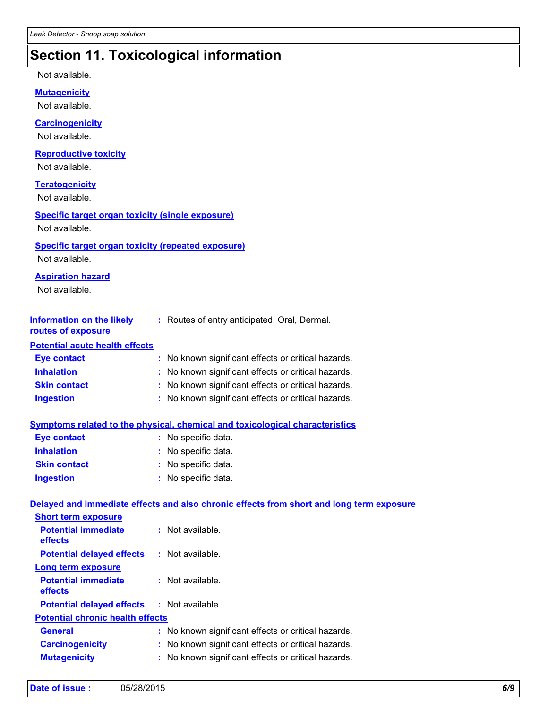## **Section 11. Toxicological information**

Not available.

**Mutagenicity**

Not available.

#### **Carcinogenicity**

Not available.

#### **Reproductive toxicity**

Not available.

#### **Teratogenicity**

Not available.

#### **Specific target organ toxicity (single exposure)**

Not available.

#### **Specific target organ toxicity (repeated exposure)**

Not available.

#### **Aspiration hazard**

Not available.

| Information on the likely | : Routes of entry anticipated: Oral, Dermal. |
|---------------------------|----------------------------------------------|
| routes of exposure        |                                              |

#### **Potential acute health effects**

| <b>Eye contact</b>  | : No known significant effects or critical hazards. |
|---------------------|-----------------------------------------------------|
| <b>Inhalation</b>   | : No known significant effects or critical hazards. |
| <b>Skin contact</b> | : No known significant effects or critical hazards. |
| <b>Ingestion</b>    | : No known significant effects or critical hazards. |

#### **Symptoms related to the physical, chemical and toxicological characteristics**

| <b>Eye contact</b>  | : No specific data. |
|---------------------|---------------------|
| <b>Inhalation</b>   | : No specific data. |
| <b>Skin contact</b> | : No specific data. |
| <b>Ingestion</b>    | : No specific data. |

#### **Delayed and immediate effects and also chronic effects from short and long term exposure**

| <b>Short term exposure</b>                        |                                                     |
|---------------------------------------------------|-----------------------------------------------------|
| <b>Potential immediate</b><br>effects             | $:$ Not available.                                  |
| <b>Potential delayed effects</b>                  | : Not available.                                    |
| Long term exposure                                |                                                     |
| <b>Potential immediate</b><br>effects             | $:$ Not available.                                  |
| <b>Potential delayed effects : Not available.</b> |                                                     |
| <b>Potential chronic health effects</b>           |                                                     |
| <b>General</b>                                    | : No known significant effects or critical hazards. |
| <b>Carcinogenicity</b>                            | : No known significant effects or critical hazards. |
| <b>Mutagenicity</b>                               | : No known significant effects or critical hazards. |
|                                                   |                                                     |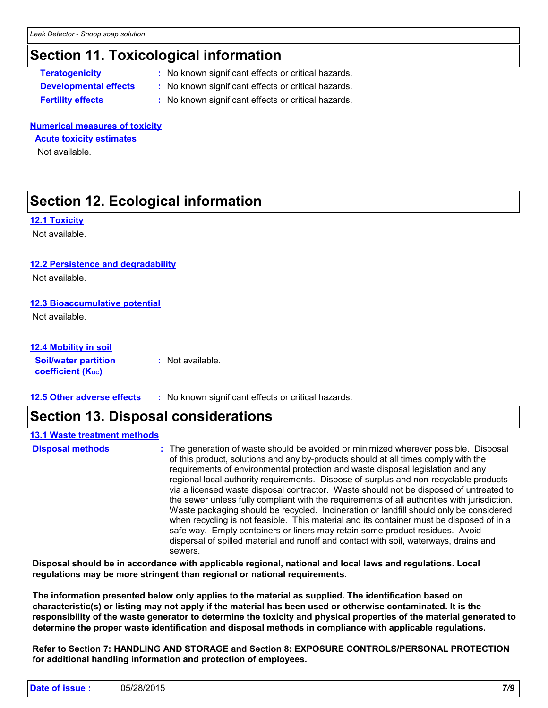### **Section 11. Toxicological information**

**Teratogenicity :** No known significant effects or critical hazards.

- **Developmental effects :** No known significant effects or critical hazards.
- 
- **Fertility effects :** No known significant effects or critical hazards.

#### **Numerical measures of toxicity**

#### **Acute toxicity estimates**

Not available.

### **Section 12. Ecological information**

#### **12.1 Toxicity**

Not available.

#### **12.2 Persistence and degradability**

Not available.

#### **12.3 Bioaccumulative potential**

Not available.

#### **12.4 Mobility in soil**

**Soil/water partition coefficient (K**<sub>oc</sub>) **:** Not available.

**12.5 Other adverse effects :** No known significant effects or critical hazards.

### **Section 13. Disposal considerations**

#### **13.1 Waste treatment methods**

The generation of waste should be avoided or minimized wherever possible. Disposal of this product, solutions and any by-products should at all times comply with the requirements of environmental protection and waste disposal legislation and any regional local authority requirements. Dispose of surplus and non-recyclable products via a licensed waste disposal contractor. Waste should not be disposed of untreated to the sewer unless fully compliant with the requirements of all authorities with jurisdiction. Waste packaging should be recycled. Incineration or landfill should only be considered when recycling is not feasible. This material and its container must be disposed of in a safe way. Empty containers or liners may retain some product residues. Avoid dispersal of spilled material and runoff and contact with soil, waterways, drains and sewers. **Disposal methods :**

**Disposal should be in accordance with applicable regional, national and local laws and regulations. Local regulations may be more stringent than regional or national requirements.**

**The information presented below only applies to the material as supplied. The identification based on characteristic(s) or listing may not apply if the material has been used or otherwise contaminated. It is the responsibility of the waste generator to determine the toxicity and physical properties of the material generated to determine the proper waste identification and disposal methods in compliance with applicable regulations.**

**Refer to Section 7: HANDLING AND STORAGE and Section 8: EXPOSURE CONTROLS/PERSONAL PROTECTION for additional handling information and protection of employees.**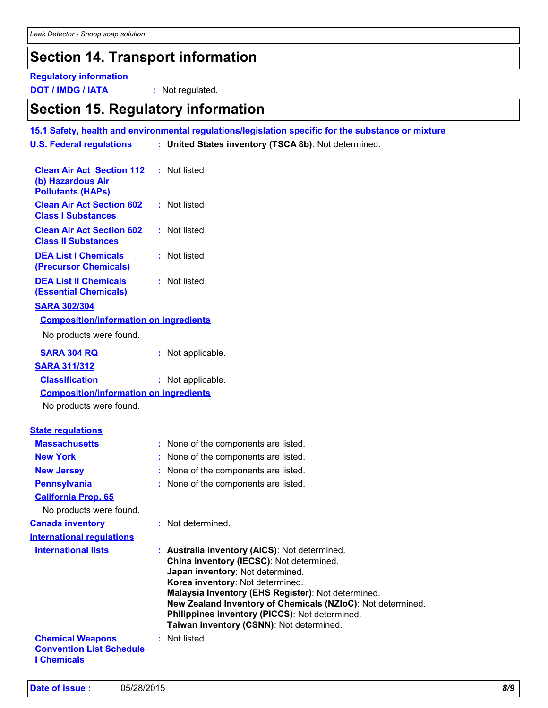### **Section 14. Transport information**

### **Regulatory information**

**DOT / IMDG / IATA :** Not regulated.

### **Section 15. Regulatory information**

| <b>U.S. Federal regulations</b>                                                   | : United States inventory (TSCA 8b): Not determined.                                                                                                                                                                                                                                                                                                                                 |
|-----------------------------------------------------------------------------------|--------------------------------------------------------------------------------------------------------------------------------------------------------------------------------------------------------------------------------------------------------------------------------------------------------------------------------------------------------------------------------------|
|                                                                                   |                                                                                                                                                                                                                                                                                                                                                                                      |
| <b>Clean Air Act Section 112</b><br>(b) Hazardous Air<br><b>Pollutants (HAPs)</b> | : Not listed                                                                                                                                                                                                                                                                                                                                                                         |
| <b>Clean Air Act Section 602</b><br><b>Class I Substances</b>                     | : Not listed                                                                                                                                                                                                                                                                                                                                                                         |
| <b>Clean Air Act Section 602</b><br><b>Class II Substances</b>                    | : Not listed                                                                                                                                                                                                                                                                                                                                                                         |
| <b>DEA List I Chemicals</b><br>(Precursor Chemicals)                              | : Not listed                                                                                                                                                                                                                                                                                                                                                                         |
| <b>DEA List II Chemicals</b><br><b>(Essential Chemicals)</b>                      | : Not listed                                                                                                                                                                                                                                                                                                                                                                         |
| <b>SARA 302/304</b>                                                               |                                                                                                                                                                                                                                                                                                                                                                                      |
| <b>Composition/information on ingredients</b>                                     |                                                                                                                                                                                                                                                                                                                                                                                      |
| No products were found.                                                           |                                                                                                                                                                                                                                                                                                                                                                                      |
| <b>SARA 304 RQ</b>                                                                | : Not applicable.                                                                                                                                                                                                                                                                                                                                                                    |
| <b>SARA 311/312</b>                                                               |                                                                                                                                                                                                                                                                                                                                                                                      |
| <b>Classification</b>                                                             | : Not applicable.                                                                                                                                                                                                                                                                                                                                                                    |
| <b>Composition/information on ingredients</b>                                     |                                                                                                                                                                                                                                                                                                                                                                                      |
| No products were found.                                                           |                                                                                                                                                                                                                                                                                                                                                                                      |
| <b>State requlations</b>                                                          |                                                                                                                                                                                                                                                                                                                                                                                      |
| <b>Massachusetts</b>                                                              | : None of the components are listed.                                                                                                                                                                                                                                                                                                                                                 |
| <b>New York</b>                                                                   | : None of the components are listed.                                                                                                                                                                                                                                                                                                                                                 |
| <b>New Jersey</b>                                                                 | : None of the components are listed.                                                                                                                                                                                                                                                                                                                                                 |
| <b>Pennsylvania</b>                                                               | : None of the components are listed.                                                                                                                                                                                                                                                                                                                                                 |
| <b>California Prop. 65</b>                                                        |                                                                                                                                                                                                                                                                                                                                                                                      |
| No products were found.                                                           |                                                                                                                                                                                                                                                                                                                                                                                      |
| <b>Canada inventory</b>                                                           | : Not determined.                                                                                                                                                                                                                                                                                                                                                                    |
| <b>International regulations</b>                                                  |                                                                                                                                                                                                                                                                                                                                                                                      |
| <b>International lists</b>                                                        | : Australia inventory (AICS): Not determined.<br>China inventory (IECSC): Not determined.<br>Japan inventory: Not determined.<br>Korea inventory: Not determined.<br>Malaysia Inventory (EHS Register): Not determined.<br>New Zealand Inventory of Chemicals (NZIoC): Not determined.<br>Philippines inventory (PICCS): Not determined.<br>Taiwan inventory (CSNN): Not determined. |
| <b>Chemical Weapons</b><br><b>Convention List Schedule</b><br><b>I</b> Chemicals  | : Not listed                                                                                                                                                                                                                                                                                                                                                                         |